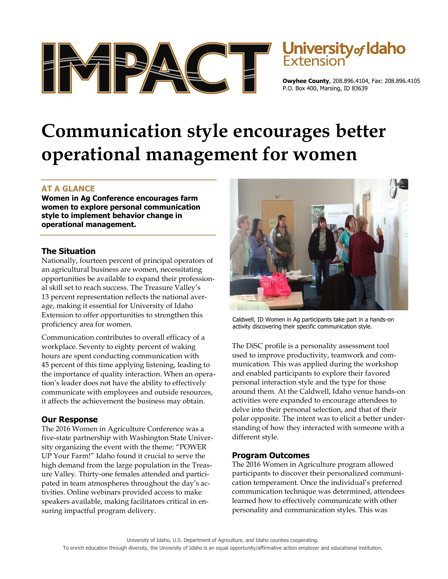



**Owyhee County**, 208.896.4104, Fax: 208.896.4105 P.O. Box 400, Marsing, ID 83639

# **Communication style encourages better operational management for women**

## **AT A GLANCE**

**Women in Ag Conference encourages farm women to explore personal communication style to implement behavior change in operational management.**

### **The Situation**

Nationally, fourteen percent of principal operators of an agricultural business are women, necessitating opportunities be available to expand their professional skill set to reach success. The Treasure Valley's 13 percent representation reflects the national average, making it essential for University of Idaho Extension to offer opportunities to strengthen this proficiency area for women.

Communication contributes to overall efficacy of a workplace. Seventy to eighty percent of waking hours are spent conducting communication with 45 percent of this time applying listening, leading to the importance of quality interaction. When an operation's leader does not have the ability to effectively communicate with employees and outside resources, it affects the achievement the business may obtain.

#### **Our Response**

The 2016 Women in Agriculture Conference was a five-state partnership with Washington State University organizing the event with the theme: "POWER UP Your Farm!" Idaho found it crucial to serve the high demand from the large population in the Treasure Valley. Thirty-one females attended and participated in team atmospheres throughout the day's activities. Online webinars provided access to make speakers available, making facilitators critical in ensuring impactful program delivery.



Caldwell, ID Women in Ag participants take part in a hands-on activity discovering their specific communication style.

The DiSC profile is a personality assessment tool used to improve productivity, teamwork and communication. This was applied during the workshop and enabled participants to explore their favored personal interaction style and the type for those around them. At the Caldwell, Idaho venue hands-on activities were expanded to encourage attendees to delve into their personal selection, and that of their polar opposite. The intent was to elicit a better understanding of how they interacted with someone with a different style.

#### **Program Outcomes**

The 2016 Women in Agriculture program allowed participants to discover their personalized communication temperament. Once the individual's preferred communication technique was determined, attendees learned how to effectively communicate with other personality and communication styles. This was